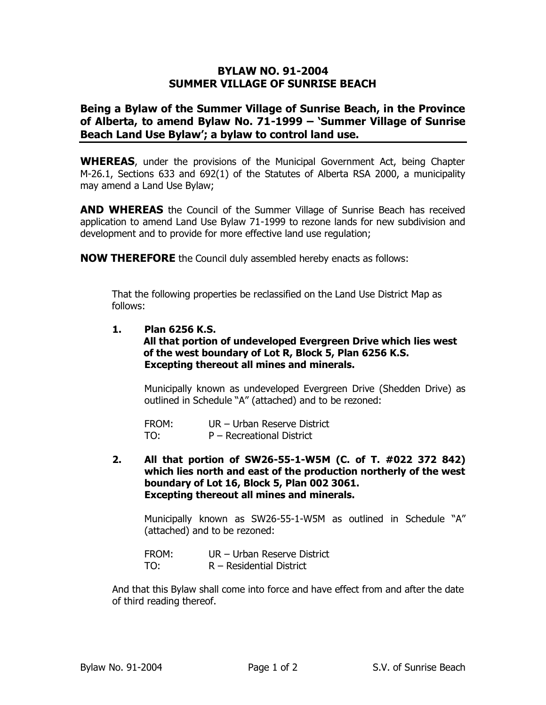## **BYLAW NO. 91-2004 SUMMER VILLAGE OF SUNRISE BEACH**

## **Being a Bylaw of the Summer Village of Sunrise Beach, in the Province of Alberta, to amend Bylaw No. 71-1999 – 'Summer Village of Sunrise Beach Land Use Bylaw'; a bylaw to control land use.**

**WHEREAS**, under the provisions of the Municipal Government Act, being Chapter M-26.1, Sections 633 and 692(1) of the Statutes of Alberta RSA 2000, a municipality may amend a Land Use Bylaw;

**AND WHEREAS** the Council of the Summer Village of Sunrise Beach has received application to amend Land Use Bylaw 71-1999 to rezone lands for new subdivision and development and to provide for more effective land use regulation;

**NOW THEREFORE** the Council duly assembled hereby enacts as follows:

That the following properties be reclassified on the Land Use District Map as follows:

## **1. Plan 6256 K.S.**

## **All that portion of undeveloped Evergreen Drive which lies west of the west boundary of Lot R, Block 5, Plan 6256 K.S. Excepting thereout all mines and minerals.**

Municipally known as undeveloped Evergreen Drive (Shedden Drive) as outlined in Schedule "A" (attached) and to be rezoned:

FROM: UR – Urban Reserve District TO: P – Recreational District

**2. All that portion of SW26-55-1-W5M (C. of T. #022 372 842) which lies north and east of the production northerly of the west boundary of Lot 16, Block 5, Plan 002 3061. Excepting thereout all mines and minerals.**

Municipally known as SW26-55-1-W5M as outlined in Schedule "A" (attached) and to be rezoned:

FROM: UR – Urban Reserve District TO: R – Residential District

And that this Bylaw shall come into force and have effect from and after the date of third reading thereof.